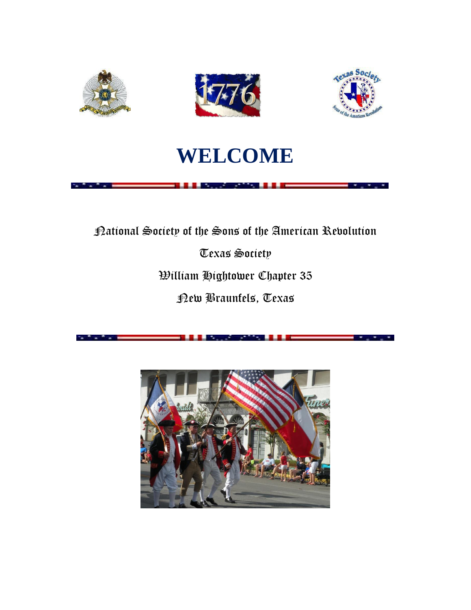

# **WELCOME**

National Society of the Sons of the American Revolution Texas Society William Hightower Chapter 35 New Braunfels, Texas



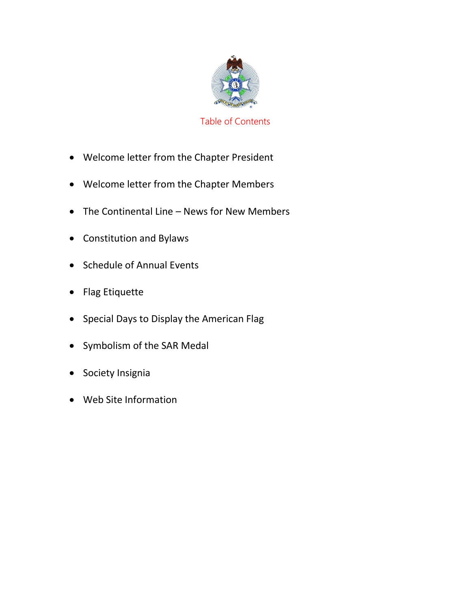

#### Table of Contents

- Welcome letter from the Chapter President
- Welcome letter from the Chapter Members
- The Continental Line News for New Members
- Constitution and Bylaws
- Schedule of Annual Events
- Flag Etiquette
- Special Days to Display the American Flag
- Symbolism of the SAR Medal
- **•** Society Insignia
- Web Site Information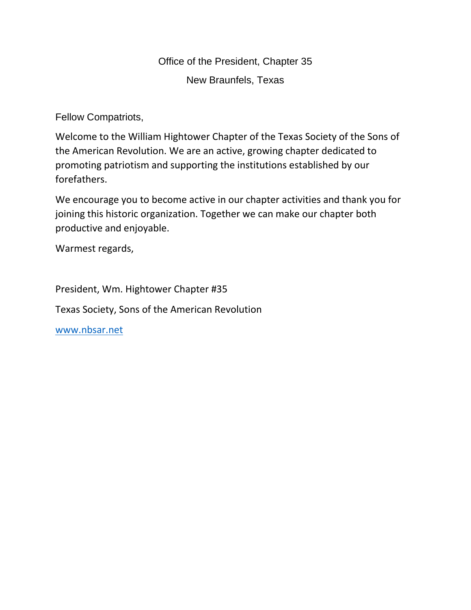Office of the President, Chapter 35 New Braunfels, Texas

Fellow Compatriots,

Welcome to the William Hightower Chapter of the Texas Society of the Sons of the American Revolution. We are an active, growing chapter dedicated to promoting patriotism and supporting the institutions established by our forefathers.

We encourage you to become active in our chapter activities and thank you for joining this historic organization. Together we can make our chapter both productive and enjoyable.

Warmest regards,

President, Wm. Hightower Chapter #35

Texas Society, Sons of the American Revolution

<www.nbsar.net>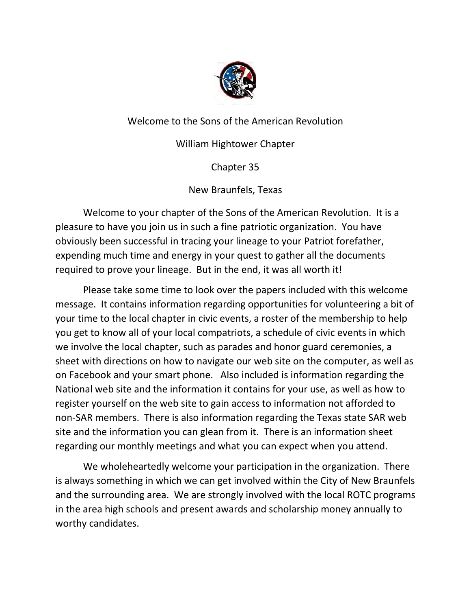

#### Welcome to the Sons of the American Revolution

#### William Hightower Chapter

Chapter 35

New Braunfels, Texas

Welcome to your chapter of the Sons of the American Revolution. It is a pleasure to have you join us in such a fine patriotic organization. You have obviously been successful in tracing your lineage to your Patriot forefather, expending much time and energy in your quest to gather all the documents required to prove your lineage. But in the end, it was all worth it!

Please take some time to look over the papers included with this welcome message. It contains information regarding opportunities for volunteering a bit of your time to the local chapter in civic events, a roster of the membership to help you get to know all of your local compatriots, a schedule of civic events in which we involve the local chapter, such as parades and honor guard ceremonies, a sheet with directions on how to navigate our web site on the computer, as well as on Facebook and your smart phone. Also included is information regarding the National web site and the information it contains for your use, as well as how to register yourself on the web site to gain access to information not afforded to non-SAR members. There is also information regarding the Texas state SAR web site and the information you can glean from it. There is an information sheet regarding our monthly meetings and what you can expect when you attend.

We wholeheartedly welcome your participation in the organization. There is always something in which we can get involved within the City of New Braunfels and the surrounding area. We are strongly involved with the local ROTC programs in the area high schools and present awards and scholarship money annually to worthy candidates.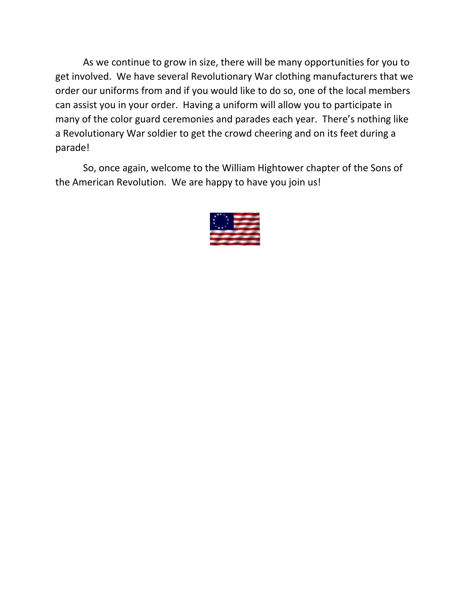As we continue to grow in size, there will be many opportunities for you to get involved. We have several Revolutionary War clothing manufacturers that we order our uniforms from and if you would like to do so, one of the local members can assist you in your order. Having a uniform will allow you to participate in many of the color guard ceremonies and parades each year. There's nothing like a Revolutionary War soldier to get the crowd cheering and on its feet during a parade!

So, once again, welcome to the William Hightower chapter of the Sons of the American Revolution. We are happy to have you join us!

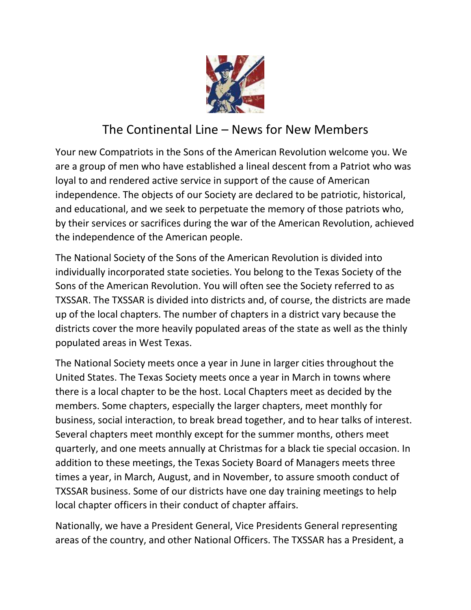

## The Continental Line – News for New Members

Your new Compatriots in the Sons of the American Revolution welcome you. We are a group of men who have established a lineal descent from a Patriot who was loyal to and rendered active service in support of the cause of American independence. The objects of our Society are declared to be patriotic, historical, and educational, and we seek to perpetuate the memory of those patriots who, by their services or sacrifices during the war of the American Revolution, achieved the independence of the American people.

The National Society of the Sons of the American Revolution is divided into individually incorporated state societies. You belong to the Texas Society of the Sons of the American Revolution. You will often see the Society referred to as TXSSAR. The TXSSAR is divided into districts and, of course, the districts are made up of the local chapters. The number of chapters in a district vary because the districts cover the more heavily populated areas of the state as well as the thinly populated areas in West Texas.

The National Society meets once a year in June in larger cities throughout the United States. The Texas Society meets once a year in March in towns where there is a local chapter to be the host. Local Chapters meet as decided by the members. Some chapters, especially the larger chapters, meet monthly for business, social interaction, to break bread together, and to hear talks of interest. Several chapters meet monthly except for the summer months, others meet quarterly, and one meets annually at Christmas for a black tie special occasion. In addition to these meetings, the Texas Society Board of Managers meets three times a year, in March, August, and in November, to assure smooth conduct of TXSSAR business. Some of our districts have one day training meetings to help local chapter officers in their conduct of chapter affairs.

Nationally, we have a President General, Vice Presidents General representing areas of the country, and other National Officers. The TXSSAR has a President, a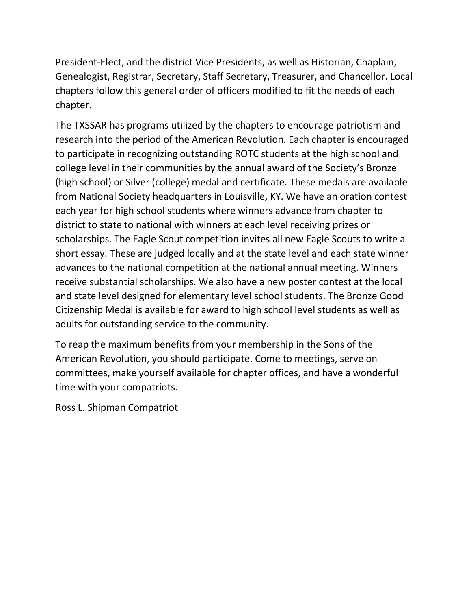President-Elect, and the district Vice Presidents, as well as Historian, Chaplain, Genealogist, Registrar, Secretary, Staff Secretary, Treasurer, and Chancellor. Local chapters follow this general order of officers modified to fit the needs of each chapter.

The TXSSAR has programs utilized by the chapters to encourage patriotism and research into the period of the American Revolution. Each chapter is encouraged to participate in recognizing outstanding ROTC students at the high school and college level in their communities by the annual award of the Society's Bronze (high school) or Silver (college) medal and certificate. These medals are available from National Society headquarters in Louisville, KY. We have an oration contest each year for high school students where winners advance from chapter to district to state to national with winners at each level receiving prizes or scholarships. The Eagle Scout competition invites all new Eagle Scouts to write a short essay. These are judged locally and at the state level and each state winner advances to the national competition at the national annual meeting. Winners receive substantial scholarships. We also have a new poster contest at the local and state level designed for elementary level school students. The Bronze Good Citizenship Medal is available for award to high school level students as well as adults for outstanding service to the community.

To reap the maximum benefits from your membership in the Sons of the American Revolution, you should participate. Come to meetings, serve on committees, make yourself available for chapter offices, and have a wonderful time with your compatriots.

Ross L. Shipman Compatriot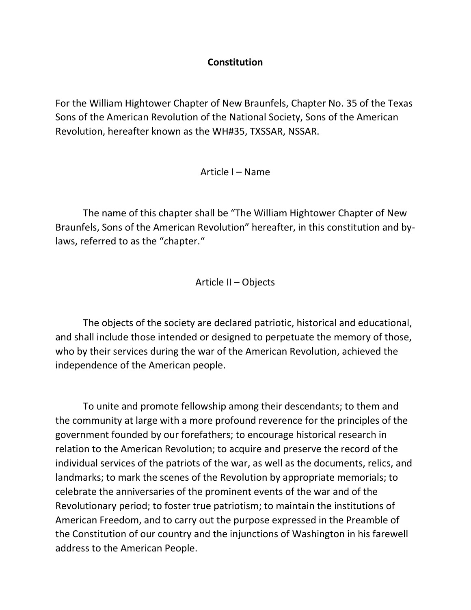#### **Constitution**

For the William Hightower Chapter of New Braunfels, Chapter No. 35 of the Texas Sons of the American Revolution of the National Society, Sons of the American Revolution, hereafter known as the WH#35, TXSSAR, NSSAR.

Article I – Name

The name of this chapter shall be "The William Hightower Chapter of New Braunfels, Sons of the American Revolution" hereafter, in this constitution and bylaws, referred to as the "*c*hapter."

Article II – Objects

The objects of the society are declared patriotic, historical and educational, and shall include those intended or designed to perpetuate the memory of those, who by their services during the war of the American Revolution, achieved the independence of the American people.

To unite and promote fellowship among their descendants; to them and the community at large with a more profound reverence for the principles of the government founded by our forefathers; to encourage historical research in relation to the American Revolution; to acquire and preserve the record of the individual services of the patriots of the war, as well as the documents, relics, and landmarks; to mark the scenes of the Revolution by appropriate memorials; to celebrate the anniversaries of the prominent events of the war and of the Revolutionary period; to foster true patriotism; to maintain the institutions of American Freedom, and to carry out the purpose expressed in the Preamble of the Constitution of our country and the injunctions of Washington in his farewell address to the American People.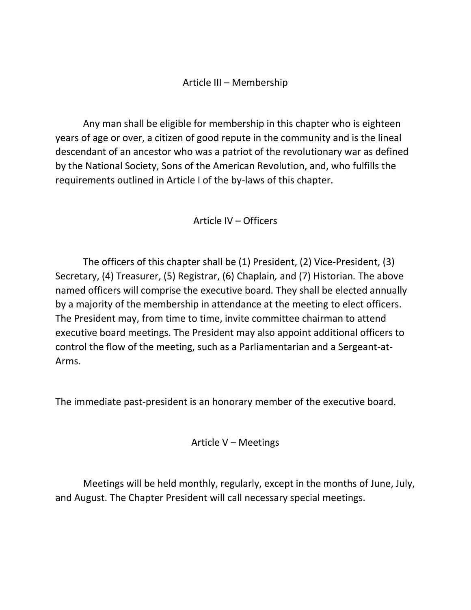#### Article III – Membership

Any man shall be eligible for membership in this chapter who is eighteen years of age or over, a citizen of good repute in the community and is the lineal descendant of an ancestor who was a patriot of the revolutionary war as defined by the National Society, Sons of the American Revolution, and, who fulfills the requirements outlined in Article I of the by-laws of this chapter.

Article IV – Officers

The officers of this chapter shall be (1) President, (2) Vice-President, (3) Secretary, (4) Treasurer, (5) Registrar, (6) Chaplain*,* and (7) Historian*.* The above named officers will comprise the executive board. They shall be elected annually by a majority of the membership in attendance at the meeting to elect officers. The President may, from time to time, invite committee chairman to attend executive board meetings. The President may also appoint additional officers to control the flow of the meeting, such as a Parliamentarian and a Sergeant-at-Arms.

The immediate past-president is an honorary member of the executive board.

Article V – Meetings

Meetings will be held monthly, regularly, except in the months of June, July, and August. The Chapter President will call necessary special meetings.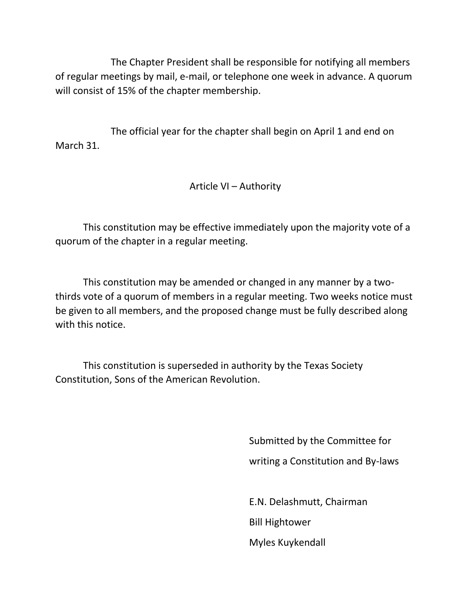The Chapter President shall be responsible for notifying all members of regular meetings by mail, e-mail, or telephone one week in advance. A quorum will consist of 15% of the *c*hapter membership.

The official year for the *c*hapter shall begin on April 1 and end on March 31.

#### Article VI – Authority

This constitution may be effective immediately upon the majority vote of a quorum of the *c*hapter in a regular meeting.

This constitution may be amended or changed in any manner by a twothirds vote of a quorum of members in a regular meeting. Two weeks notice must be given to all members, and the proposed change must be fully described along with this notice.

This constitution is superseded in authority by the Texas Society Constitution, Sons of the American Revolution.

> Submitted by the Committee for writing a Constitution and By-laws

E.N. Delashmutt, Chairman Bill Hightower Myles Kuykendall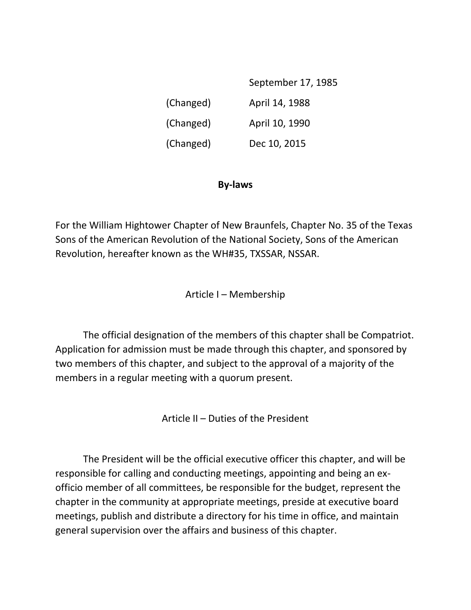|           | September 17, 1985 |
|-----------|--------------------|
| (Changed) | April 14, 1988     |
| (Changed) | April 10, 1990     |
| (Changed) | Dec 10, 2015       |

#### **By-laws**

For the William Hightower Chapter of New Braunfels, Chapter No. 35 of the Texas Sons of the American Revolution of the National Society, Sons of the American Revolution, hereafter known as the WH#35, TXSSAR, NSSAR.

Article I – Membership

The official designation of the members of this chapter shall be Compatriot. Application for admission must be made through this chapter, and sponsored by two members of this chapter, and subject to the approval of a majority of the members in a regular meeting with a quorum present.

Article II – Duties of the President

The President will be the official executive officer this *c*hapter, and will be responsible for calling and conducting meetings, appointing and being an exofficio member of all committees, be responsible for the budget, represent the chapter in the community at appropriate meetings, preside at executive board meetings, publish and distribute a directory for his time in office, and maintain general supervision over the affairs and business of this chapter.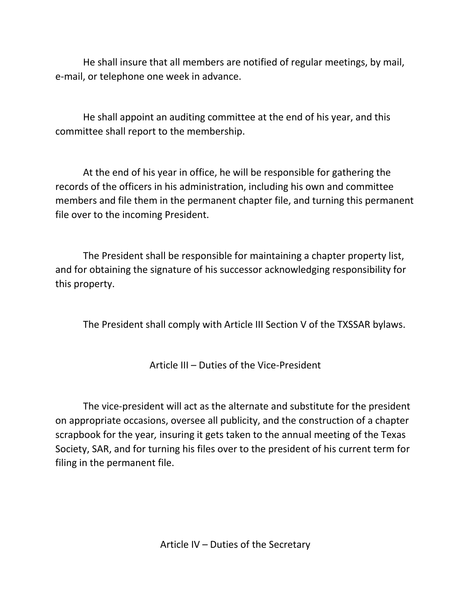He shall insure that all members are notified of regular meetings, by mail, e-mail, or telephone one week in advance.

He shall appoint an auditing committee at the end of his year, and this committee shall report to the membership.

At the end of his year in office, he will be responsible for gathering the records of the officers in his administration, including his own and committee members and file them in the permanent chapter file, and turning this permanent file over to the incoming President.

The President shall be responsible for maintaining a chapter property list, and for obtaining the signature of his successor acknowledging responsibility for this property.

The President shall comply with Article III Section V of the TXSSAR bylaws.

Article III – Duties of the Vice-President

The vice-president will act as the alternate and substitute for the president on appropriate occasions, oversee all publicity, and the construction of a chapter scrapbook for the year*,* insuring it gets taken to the annual meeting of the Texas Society, SAR, and for turning his files over to the president of his current term for filing in the permanent file.

Article IV – Duties of the Secretary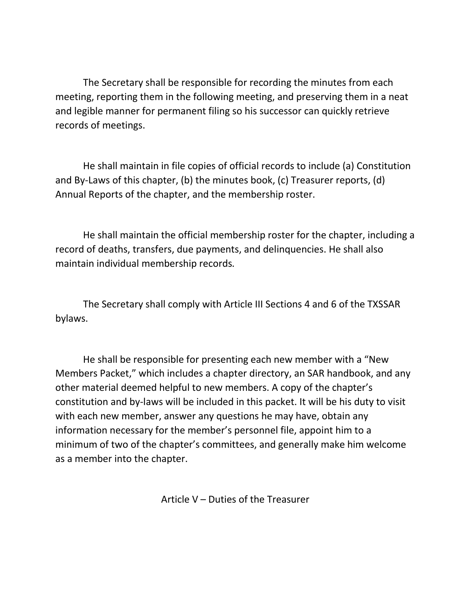The Secretary shall be responsible for recording the minutes from each meeting, reporting them in the following meeting, and preserving them in a neat and legible manner for permanent filing so his successor can quickly retrieve records of meetings.

He shall maintain in file copies of official records to include (a) Constitution and By-Laws of this chapter, (b) the minutes book, (c) Treasurer reports, (d) Annual Reports of the chapter, and the membership roster.

He shall maintain the official membership roster for the chapter, including a record of deaths, transfers, due payments, and delinquencies. He shall also maintain individual membership records*.*

The Secretary shall comply with Article III Sections 4 and 6 of the TXSSAR bylaws.

He shall be responsible for presenting each new member with a "New Members Packet," which includes a chapter directory, an SAR handbook, and any other material deemed helpful to new members. A copy of the chapter's constitution and by-laws will be included in this packet. It will be his duty to visit with each new member, answer any questions he may have, obtain any information necessary for the member's personnel file, appoint him to a minimum of two of the chapter's committees, and generally make him welcome as a member into the chapter.

Article V – Duties of the Treasurer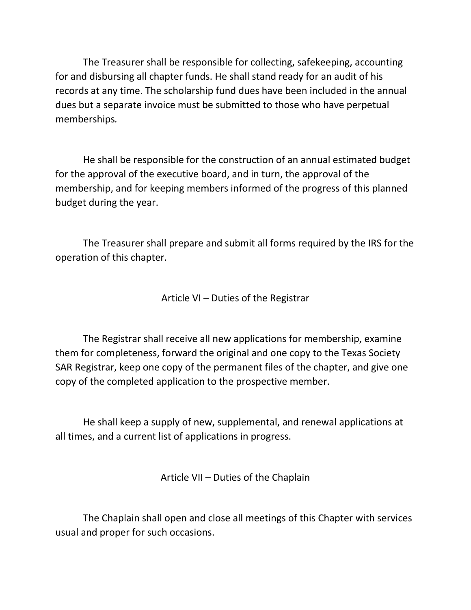The Treasurer shall be responsible for collecting, safekeeping, accounting for and disbursing all chapter funds. He shall stand ready for an audit of his records at any time. The scholarship fund dues have been included in the annual dues but a separate invoice must be submitted to those who have perpetual memberships*.*

He shall be responsible for the construction of an annual estimated budget for the approval of the executive board, and in turn, the approval of the membership, and for keeping members informed of the progress of this planned budget during the year.

The Treasurer shall prepare and submit all forms required by the IRS for the operation of this chapter.

Article VI – Duties of the Registrar

The Registrar shall receive all new applications for membership, examine them for completeness, forward the original and one copy to the Texas Society SAR Registrar, keep one copy of the permanent files of the chapter, and give one copy of the completed application to the prospective member.

He shall keep a supply of new, supplemental, and renewal applications at all times, and a current list of applications in progress.

Article VII – Duties of the Chaplain

The Chaplain shall open and close all meetings of this Chapter with services usual and proper for such occasions.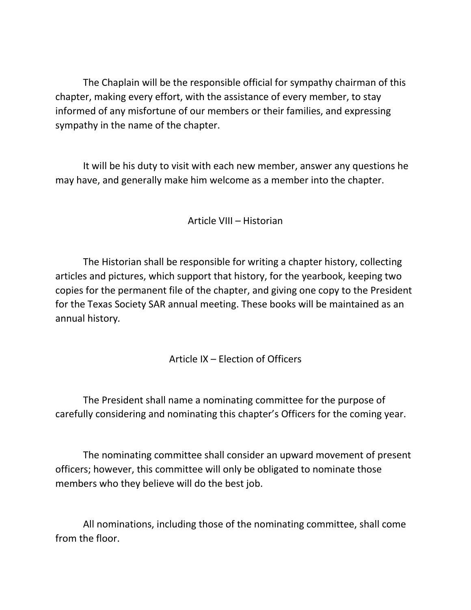The Chaplain will be the responsible official for sympathy chairman of this chapter, making every effort, with the assistance of every member, to stay informed of any misfortune of our members or their families, and expressing sympathy in the name of the chapter.

It will be his duty to visit with each new member, answer any questions he may have, and generally make him welcome as a member into the chapter.

### Article VIII *–* Historian

The Historian shall be responsible for writing a chapter history, collecting articles and pictures, which support that history, for the yearbook, keeping two copies for the permanent file of the chapter, and giving one copy to the President for the Texas Society SAR annual meeting. These books will be maintained as an annual history*.*

### Article IX – Election of Officers

The President shall name a nominating committee for the purpose of carefully considering and nominating this chapter's Officers for the coming year.

The nominating committee shall consider an upward movement of present officers; however, this committee will only be obligated to nominate those members who they believe will do the best job.

All nominations, including those of the nominating committee, shall come from the floor.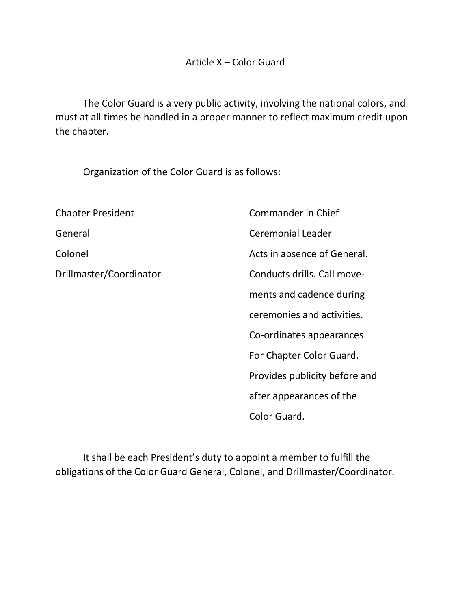The Color Guard is a very public activity, involving the national colors, and must at all times be handled in a proper manner to reflect maximum credit upon the chapter.

Organization of the Color Guard is as follows:

| <b>Chapter President</b> | Commander in Chief            |
|--------------------------|-------------------------------|
| General                  | Ceremonial Leader             |
| Colonel                  | Acts in absence of General.   |
| Drillmaster/Coordinator  | Conducts drills. Call move-   |
|                          | ments and cadence during      |
|                          | ceremonies and activities.    |
|                          | Co-ordinates appearances      |
|                          | For Chapter Color Guard.      |
|                          | Provides publicity before and |
|                          | after appearances of the      |
|                          | Color Guard.                  |

It shall be each President's duty to appoint a member to fulfill the obligations of the Color Guard General, Colonel, and Drillmaster/Coordinator.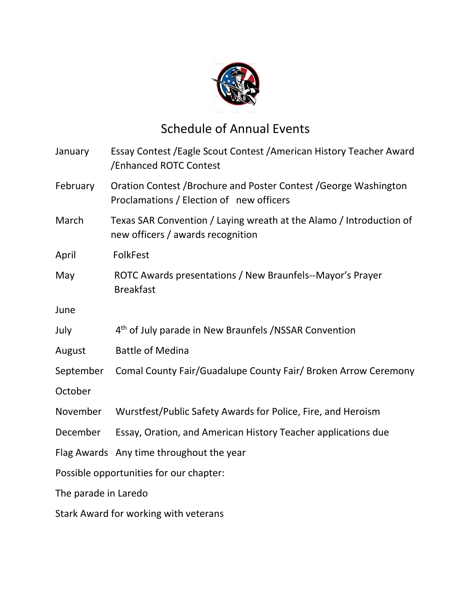

Schedule of Annual Events

| January                                 | Essay Contest / Eagle Scout Contest / American History Teacher Award<br><b>/Enhanced ROTC Contest</b>         |  |
|-----------------------------------------|---------------------------------------------------------------------------------------------------------------|--|
| February                                | Oration Contest / Brochure and Poster Contest / George Washington<br>Proclamations / Election of new officers |  |
| March                                   | Texas SAR Convention / Laying wreath at the Alamo / Introduction of<br>new officers / awards recognition      |  |
| April                                   | <b>FolkFest</b>                                                                                               |  |
| May                                     | ROTC Awards presentations / New Braunfels--Mayor's Prayer<br><b>Breakfast</b>                                 |  |
| June                                    |                                                                                                               |  |
| July                                    | 4 <sup>th</sup> of July parade in New Braunfels / NSSAR Convention                                            |  |
| August                                  | <b>Battle of Medina</b>                                                                                       |  |
| September                               | Comal County Fair/Guadalupe County Fair/ Broken Arrow Ceremony                                                |  |
| October                                 |                                                                                                               |  |
| November                                | Wurstfest/Public Safety Awards for Police, Fire, and Heroism                                                  |  |
| December                                | Essay, Oration, and American History Teacher applications due                                                 |  |
|                                         | Flag Awards Any time throughout the year                                                                      |  |
| Possible opportunities for our chapter: |                                                                                                               |  |
| The parade in Laredo                    |                                                                                                               |  |
| Stark Award for working with veterans   |                                                                                                               |  |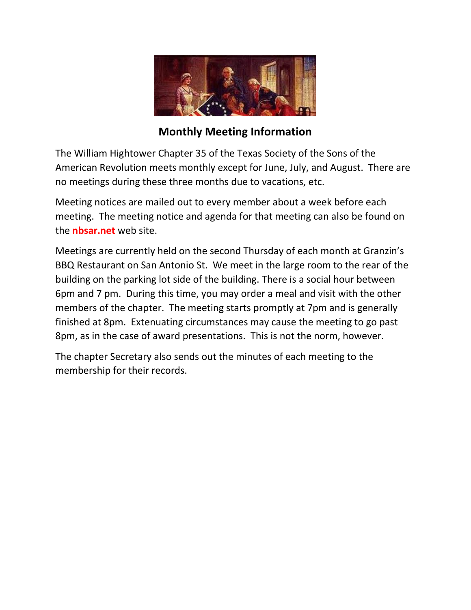

## **Monthly Meeting Information**

The William Hightower Chapter 35 of the Texas Society of the Sons of the American Revolution meets monthly except for June, July, and August. There are no meetings during these three months due to vacations, etc.

Meeting notices are mailed out to every member about a week before each meeting. The meeting notice and agenda for that meeting can also be found on the **nbsar.net** web site.

Meetings are currently held on the second Thursday of each month at Granzin's BBQ Restaurant on San Antonio St. We meet in the large room to the rear of the building on the parking lot side of the building. There is a social hour between 6pm and 7 pm. During this time, you may order a meal and visit with the other members of the chapter. The meeting starts promptly at 7pm and is generally finished at 8pm. Extenuating circumstances may cause the meeting to go past 8pm, as in the case of award presentations. This is not the norm, however.

The chapter Secretary also sends out the minutes of each meeting to the membership for their records.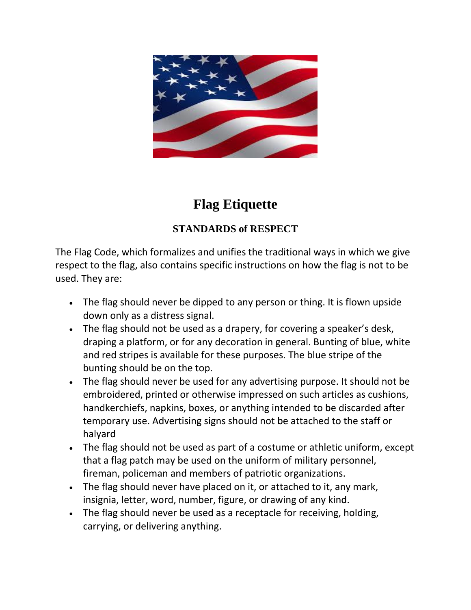

## **Flag Etiquette**

## **STANDARDS of RESPECT**

The Flag Code, which formalizes and unifies the traditional ways in which we give respect to the flag, also contains specific instructions on how the flag is not to be used. They are:

- The flag should never be dipped to any person or thing. It is flown upside down only as a distress signal.
- The flag should not be used as a drapery, for covering a speaker's desk, draping a platform, or for any decoration in general. Bunting of blue, white and red stripes is available for these purposes. The blue stripe of the bunting should be on the top.
- The flag should never be used for any advertising purpose. It should not be embroidered, printed or otherwise impressed on such articles as cushions, handkerchiefs, napkins, boxes, or anything intended to be discarded after temporary use. Advertising signs should not be attached to the staff or halyard
- The flag should not be used as part of a costume or athletic uniform, except that a flag patch may be used on the uniform of military personnel, fireman, policeman and members of patriotic organizations.
- The flag should never have placed on it, or attached to it, any mark, insignia, letter, word, number, figure, or drawing of any kind.
- The flag should never be used as a receptacle for receiving, holding, carrying, or delivering anything.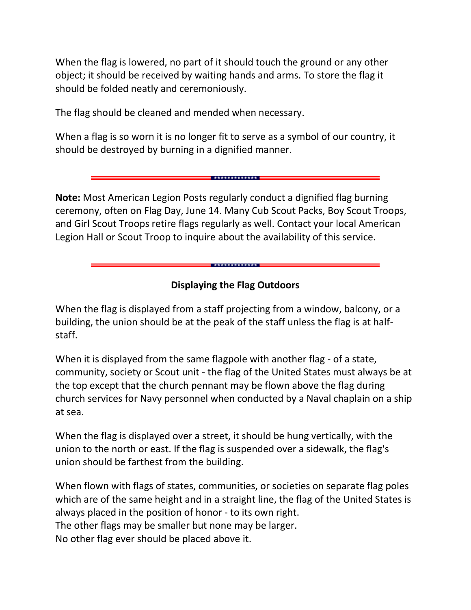When the flag is lowered, no part of it should touch the ground or any other object; it should be received by waiting hands and arms. To store the flag it should be folded neatly and ceremoniously.

The flag should be cleaned and mended when necessary.

When a flag is so worn it is no longer fit to serve as a symbol of our country, it should be destroyed by burning in a dignified manner.

**Note:** Most American Legion Posts regularly conduct a dignified flag burning ceremony, often on Flag Day, June 14. Many Cub Scout Packs, Boy Scout Troops, and Girl Scout Troops retire flags regularly as well. Contact your local American Legion Hall or Scout Troop to inquire about the availability of this service.

. ..............

### **Displaying the Flag Outdoors**

. *\*\*\*\*\*\*\*\*\*\*\*\*\**\*

When the flag is displayed from a staff projecting from a window, balcony, or a building, the union should be at the peak of the staff unless the flag is at halfstaff.

When it is displayed from the same flagpole with another flag - of a state, community, society or Scout unit - the flag of the United States must always be at the top except that the church pennant may be flown above the flag during church services for Navy personnel when conducted by a Naval chaplain on a ship at sea.

When the flag is displayed over a street, it should be hung vertically, with the union to the north or east. If the flag is suspended over a sidewalk, the flag's union should be farthest from the building.

When flown with flags of states, communities, or societies on separate flag poles which are of the same height and in a straight line, the flag of the United States is always placed in the position of honor - to its own right.

The other flags may be smaller but none may be larger.

No other flag ever should be placed above it.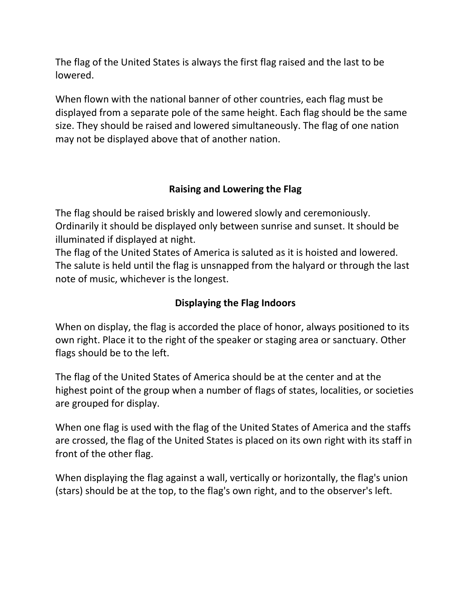The flag of the United States is always the first flag raised and the last to be lowered.

When flown with the national banner of other countries, each flag must be displayed from a separate pole of the same height. Each flag should be the same size. They should be raised and lowered simultaneously. The flag of one nation may not be displayed above that of another nation.

## **Raising and Lowering the Flag**

The flag should be raised briskly and lowered slowly and ceremoniously. Ordinarily it should be displayed only between sunrise and sunset. It should be illuminated if displayed at night.

The flag of the United States of America is saluted as it is hoisted and lowered. The salute is held until the flag is unsnapped from the halyard or through the last note of music, whichever is the longest.

### **Displaying the Flag Indoors**

When on display, the flag is accorded the place of honor, always positioned to its own right. Place it to the right of the speaker or staging area or sanctuary. Other flags should be to the left.

The flag of the United States of America should be at the center and at the highest point of the group when a number of flags of states, localities, or societies are grouped for display.

When one flag is used with the flag of the United States of America and the staffs are crossed, the flag of the United States is placed on its own right with its staff in front of the other flag.

When displaying the flag against a wall, vertically or horizontally, the flag's union (stars) should be at the top, to the flag's own right, and to the observer's left.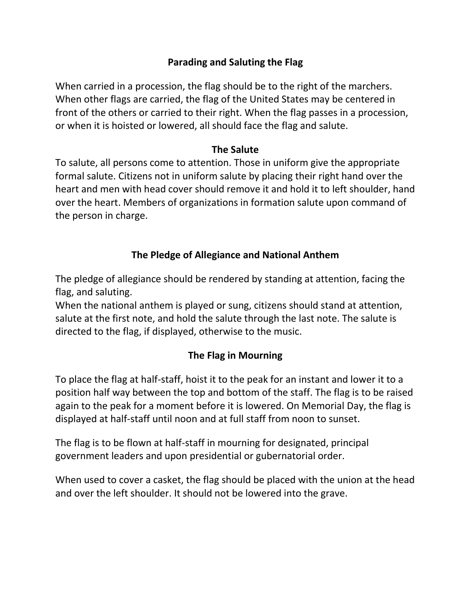### **Parading and Saluting the Flag**

When carried in a procession, the flag should be to the right of the marchers. When other flags are carried, the flag of the United States may be centered in front of the others or carried to their right. When the flag passes in a procession, or when it is hoisted or lowered, all should face the flag and salute.

### **The Salute**

To salute, all persons come to attention. Those in uniform give the appropriate formal salute. Citizens not in uniform salute by placing their right hand over the heart and men with head cover should remove it and hold it to left shoulder, hand over the heart. Members of organizations in formation salute upon command of the person in charge.

### **The Pledge of Allegiance and National Anthem**

The pledge of allegiance should be rendered by standing at attention, facing the flag, and saluting.

When the national anthem is played or sung, citizens should stand at attention, salute at the first note, and hold the salute through the last note. The salute is directed to the flag, if displayed, otherwise to the music.

### **The Flag in Mourning**

To place the flag at half-staff, hoist it to the peak for an instant and lower it to a position half way between the top and bottom of the staff. The flag is to be raised again to the peak for a moment before it is lowered. On Memorial Day, the flag is displayed at half-staff until noon and at full staff from noon to sunset.

The flag is to be flown at half-staff in mourning for designated, principal government leaders and upon presidential or gubernatorial order.

When used to cover a casket, the flag should be placed with the union at the head and over the left shoulder. It should not be lowered into the grave.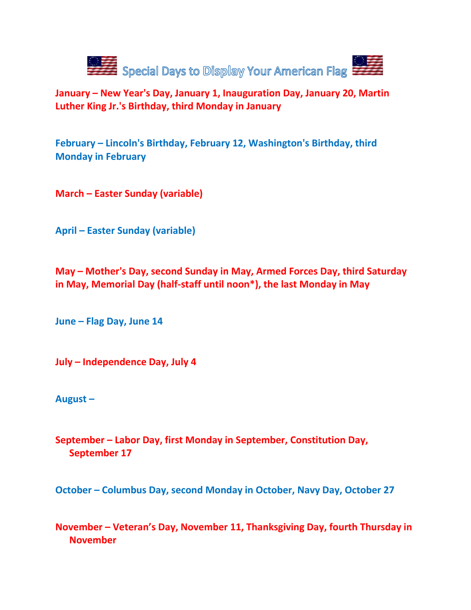

**January – New Year's Day, January 1, Inauguration Day, January 20, Martin Luther King Jr.'s Birthday, third Monday in January**

**February – Lincoln's Birthday, February 12, Washington's Birthday, third Monday in February**

**March – Easter Sunday (variable)**

**April – Easter Sunday (variable)**

**May – Mother's Day, second Sunday in May, Armed Forces Day, third Saturday in May, Memorial Day (half-staff until noon\*), the last Monday in May**

**June – Flag Day, June 14**

**July – Independence Day, July 4**

**August –**

**September – Labor Day, first Monday in September, Constitution Day, September 17**

**October – Columbus Day, second Monday in October, Navy Day, October 27**

**November – Veteran's Day, November 11, Thanksgiving Day, fourth Thursday in November**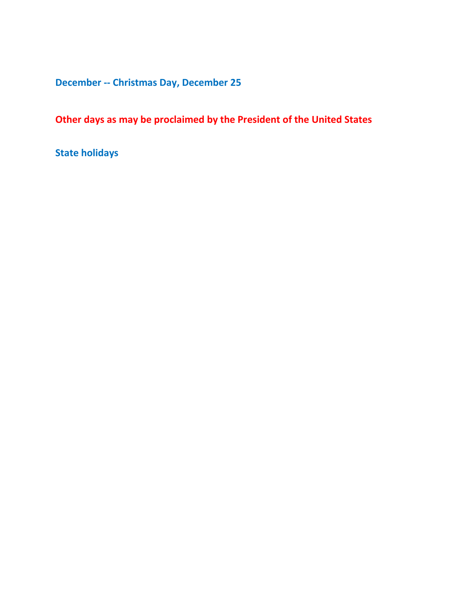**December -- Christmas Day, December 25**

**Other days as may be proclaimed by the President of the United States** 

**State holidays**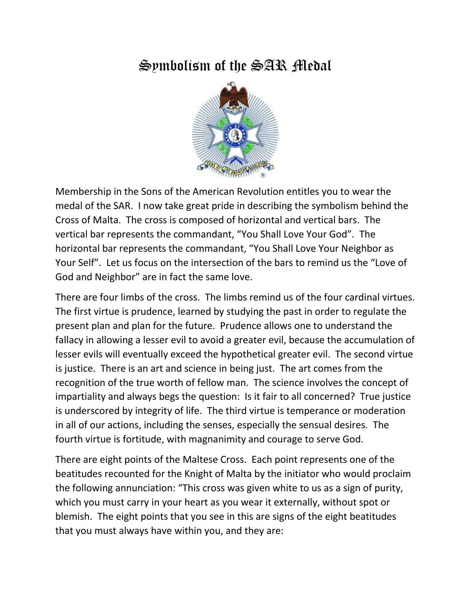## Symbolism of the SAR Medal



Membership in the Sons of the American Revolution entitles you to wear the medal of the SAR. I now take great pride in describing the symbolism behind the Cross of Malta. The cross is composed of horizontal and vertical bars. The vertical bar represents the commandant, "You Shall Love Your God". The horizontal bar represents the commandant, "You Shall Love Your Neighbor as Your Self". Let us focus on the intersection of the bars to remind us the "Love of God and Neighbor" are in fact the same love.

There are four limbs of the cross. The limbs remind us of the four cardinal virtues. The first virtue is prudence, learned by studying the past in order to regulate the present plan and plan for the future. Prudence allows one to understand the fallacy in allowing a lesser evil to avoid a greater evil, because the accumulation of lesser evils will eventually exceed the hypothetical greater evil. The second virtue is justice. There is an art and science in being just. The art comes from the recognition of the true worth of fellow man. The science involves the concept of impartiality and always begs the question: Is it fair to all concerned? True justice is underscored by integrity of life. The third virtue is temperance or moderation in all of our actions, including the senses, especially the sensual desires. The fourth virtue is fortitude, with magnanimity and courage to serve God.

There are eight points of the Maltese Cross. Each point represents one of the beatitudes recounted for the Knight of Malta by the initiator who would proclaim the following annunciation: "This cross was given white to us as a sign of purity, which you must carry in your heart as you wear it externally, without spot or blemish. The eight points that you see in this are signs of the eight beatitudes that you must always have within you, and they are: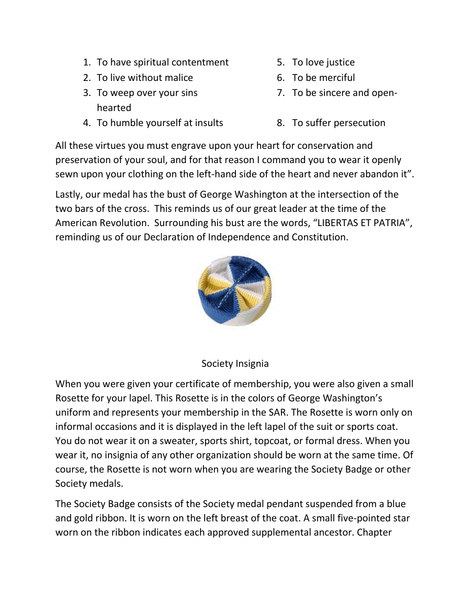- 1. To have spiritual contentment 5. To love justice
- 2. To live without malice **6.** To be merciful
- hearted
- 4. To humble yourself at insults 8. To suffer persecution
- 
- 
- 3. To weep over your sins The State Control of the sincere and open-
	-

All these virtues you must engrave upon your heart for conservation and preservation of your soul, and for that reason I command you to wear it openly sewn upon your clothing on the left-hand side of the heart and never abandon it".

Lastly, our medal has the bust of George Washington at the intersection of the two bars of the cross. This reminds us of our great leader at the time of the American Revolution. Surrounding his bust are the words, "LIBERTAS ET PATRIA", reminding us of our Declaration of Independence and Constitution.



## Society Insignia

When you were given your certificate of membership, you were also given a small Rosette for your lapel. This Rosette is in the colors of George Washington's uniform and represents your membership in the SAR. The Rosette is worn only on informal occasions and it is displayed in the left lapel of the suit or sports coat. You do not wear it on a sweater, sports shirt, topcoat, or formal dress. When you wear it, no insignia of any other organization should be worn at the same time. Of course, the Rosette is not worn when you are wearing the Society Badge or other Society medals.

The Society Badge consists of the Society medal pendant suspended from a blue and gold ribbon. It is worn on the left breast of the coat. A small five-pointed star worn on the ribbon indicates each approved supplemental ancestor. Chapter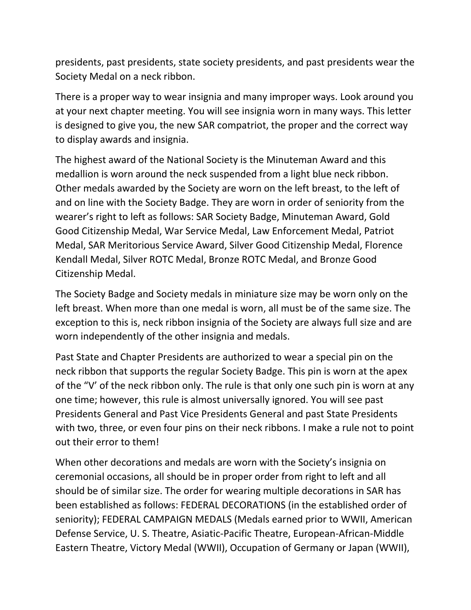presidents, past presidents, state society presidents, and past presidents wear the Society Medal on a neck ribbon.

There is a proper way to wear insignia and many improper ways. Look around you at your next chapter meeting. You will see insignia worn in many ways. This letter is designed to give you, the new SAR compatriot, the proper and the correct way to display awards and insignia.

The highest award of the National Society is the Minuteman Award and this medallion is worn around the neck suspended from a light blue neck ribbon. Other medals awarded by the Society are worn on the left breast, to the left of and on line with the Society Badge. They are worn in order of seniority from the wearer's right to left as follows: SAR Society Badge, Minuteman Award, Gold Good Citizenship Medal, War Service Medal, Law Enforcement Medal, Patriot Medal, SAR Meritorious Service Award, Silver Good Citizenship Medal, Florence Kendall Medal, Silver ROTC Medal, Bronze ROTC Medal, and Bronze Good Citizenship Medal.

The Society Badge and Society medals in miniature size may be worn only on the left breast. When more than one medal is worn, all must be of the same size. The exception to this is, neck ribbon insignia of the Society are always full size and are worn independently of the other insignia and medals.

Past State and Chapter Presidents are authorized to wear a special pin on the neck ribbon that supports the regular Society Badge. This pin is worn at the apex of the "V' of the neck ribbon only. The rule is that only one such pin is worn at any one time; however, this rule is almost universally ignored. You will see past Presidents General and Past Vice Presidents General and past State Presidents with two, three, or even four pins on their neck ribbons. I make a rule not to point out their error to them!

When other decorations and medals are worn with the Society's insignia on ceremonial occasions, all should be in proper order from right to left and all should be of similar size. The order for wearing multiple decorations in SAR has been established as follows: FEDERAL DECORATIONS (in the established order of seniority); FEDERAL CAMPAIGN MEDALS (Medals earned prior to WWII, American Defense Service, U. S. Theatre, Asiatic-Pacific Theatre, European-African-Middle Eastern Theatre, Victory Medal (WWII), Occupation of Germany or Japan (WWII),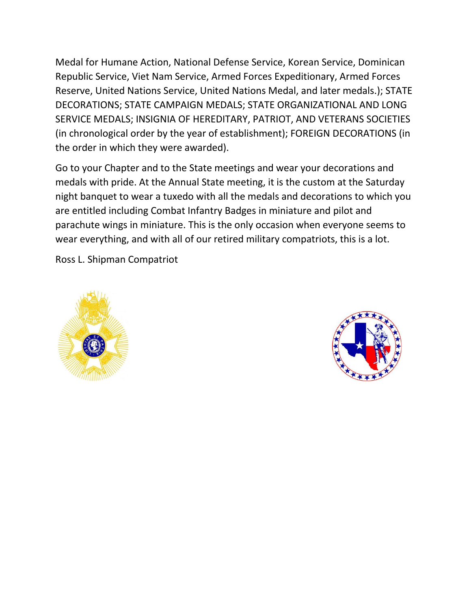Medal for Humane Action, National Defense Service, Korean Service, Dominican Republic Service, Viet Nam Service, Armed Forces Expeditionary, Armed Forces Reserve, United Nations Service, United Nations Medal, and later medals.); STATE DECORATIONS; STATE CAMPAIGN MEDALS; STATE ORGANIZATIONAL AND LONG SERVICE MEDALS; INSIGNIA OF HEREDITARY, PATRIOT, AND VETERANS SOCIETIES (in chronological order by the year of establishment); FOREIGN DECORATIONS (in the order in which they were awarded).

Go to your Chapter and to the State meetings and wear your decorations and medals with pride. At the Annual State meeting, it is the custom at the Saturday night banquet to wear a tuxedo with all the medals and decorations to which you are entitled including Combat Infantry Badges in miniature and pilot and parachute wings in miniature. This is the only occasion when everyone seems to wear everything, and with all of our retired military compatriots, this is a lot.

Ross L. Shipman Compatriot



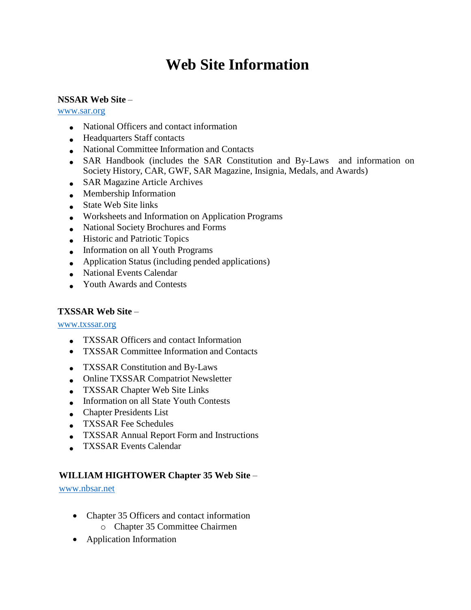## **Web Site Information**

#### **NSSAR Web Site** –

#### [www.sar.org](http://www.sar.org/)

- National Officers and contact information
- Headquarters Staff contacts
- National Committee Information and Contacts
- SAR Handbook (includes the SAR Constitution and By-Laws and information on Society History, CAR, GWF, SAR Magazine, Insignia, Medals, and Awards)
- SAR Magazine Article Archives
- Membership Information
- State Web Site links
- Worksheets and Information on Application Programs
- National Society Brochures and Forms
- Historic and Patriotic Topics
- Information on all Youth Programs
- Application Status (including pended applications)
- National Events Calendar
- Youth Awards and Contests

#### **TXSSAR Web Site** –

#### [www.txssar.org](http://www.txssar.org/)

- TXSSAR Officers and contact Information
- TXSSAR Committee Information and Contacts
- TXSSAR Constitution and By-Laws
- Online TXSSAR Compatriot Newsletter
- TXSSAR Chapter Web Site Links
- **Information on all State Youth Contests**
- Chapter Presidents List
- TXSSAR Fee Schedules
- TXSSAR Annual Report Form and Instructions
- **TXSSAR Events Calendar**

#### **WILLIAM HIGHTOWER Chapter 35 Web Site** –

[www.nbsar.net](http://www.nbsar.net/)

- Chapter 35 Officers and contact information
	- o Chapter 35 Committee Chairmen
- Application Information